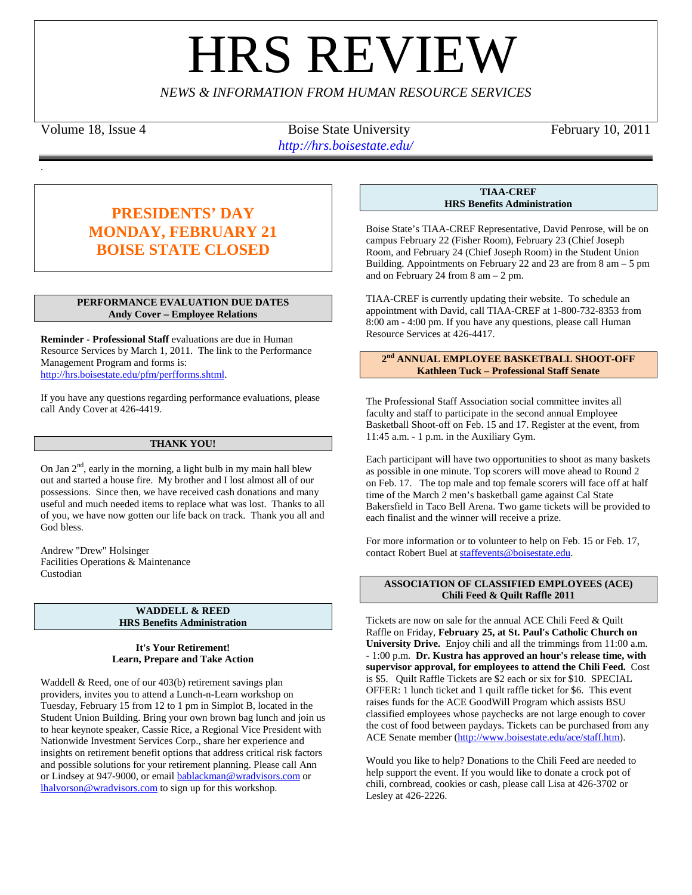# **HRS REVIE**

*NEWS & INFORMATION FROM HUMAN RESOURCE SERVICES*

.

Volume 18, Issue 4 Boise State University February 10, 2011 *http://hrs.boisestate.edu/*

# **PRESIDENTS' DAY MONDAY, FEBRUARY 21 BOISE STATE CLOSED**

# **PERFORMANCE EVALUATION DUE DATES Andy Cover – Employee Relations**

**Reminder** - **Professional Staff** evaluations are due in Human Resource Services by March 1, 2011. The link to the Performance Management Program and forms is: [http://hrs.boisestate.edu/pfm/perfforms.shtml.](http://hrs.boisestate.edu/pfm/perfforms.shtml) 

If you have any questions regarding performance evaluations, please call Andy Cover at 426-4419.

# **THANK YOU!**

On Jan  $2<sup>nd</sup>$ , early in the morning, a light bulb in my main hall blew out and started a house fire. My brother and I lost almost all of our possessions. Since then, we have received cash donations and many useful and much needed items to replace what was lost. Thanks to all of you, we have now gotten our life back on track. Thank you all and God bless.

Andrew "Drew" Holsinger Facilities Operations & Maintenance Custodian

# **WADDELL & REED HRS Benefits Administration**

# **It's Your Retirement! Learn, Prepare and Take Action**

Waddell & Reed, one of our 403(b) retirement savings plan providers, invites you to attend a Lunch-n-Learn workshop on Tuesday, February 15 from 12 to 1 pm in Simplot B, located in the Student Union Building. Bring your own brown bag lunch and join us to hear keynote speaker, Cassie Rice, a Regional Vice President with Nationwide Investment Services Corp., share her experience and insights on retirement benefit options that address critical risk factors and possible solutions for your retirement planning. Please call Ann or Lindsey at 947-9000, or emai[l bablackman@wradvisors.com](mailto:bablackman@wradvisors.com) or [lhalvorson@wradvisors.com](mailto:lhalvorson@wradvisors.com) to sign up for this workshop.

**TIAA-CREF HRS Benefits Administration**

Boise State's TIAA-CREF Representative, David Penrose, will be on campus February 22 (Fisher Room), February 23 (Chief Joseph Room, and February 24 (Chief Joseph Room) in the Student Union Building. Appointments on February 22 and 23 are from 8 am – 5 pm and on February 24 from  $8 \text{ am} - 2 \text{ pm}$ .

TIAA-CREF is currently updating their website. To schedule an appointment with David, call TIAA-CREF at 1-800-732-8353 from 8:00 am - 4:00 pm. If you have any questions, please call Human Resource Services at 426-4417.

### **2nd ANNUAL EMPLOYEE BASKETBALL SHOOT-OFF Kathleen Tuck – Professional Staff Senate**

The Professional Staff Association social committee invites all faculty and staff to participate in the second annual Employee Basketball Shoot-off on Feb. 15 and 17. Register at the event, from 11:45 a.m. - 1 p.m. in the Auxiliary Gym.

Each participant will have two opportunities to shoot as many baskets as possible in one minute. Top scorers will move ahead to Round 2 on Feb. 17. The top male and top female scorers will face off at half time of the March 2 men's basketball game against Cal State Bakersfield in Taco Bell Arena. Two game tickets will be provided to each finalist and the winner will receive a prize.

For more information or to volunteer to help on Feb. 15 or Feb. 17, contact Robert Buel at [staffevents@boisestate.edu.](mailto:staffevents@boisestate.edu)

# **ASSOCIATION OF CLASSIFIED EMPLOYEES (ACE) Chili Feed & Quilt Raffle 2011**

Tickets are now on sale for the annual ACE Chili Feed & Quilt Raffle on Friday, **February 25, at St. Paul's Catholic Church on University Drive.** Enjoy chili and all the trimmings from 11:00 a.m. - 1:00 p.m. **Dr. Kustra has approved an hour's release time, with supervisor approval, for employees to attend the Chili Feed.** Cost is \$5. Quilt Raffle Tickets are \$2 each or six for \$10. SPECIAL OFFER: 1 lunch ticket and 1 quilt raffle ticket for \$6. This event raises funds for the ACE GoodWill Program which assists BSU classified employees whose paychecks are not large enough to cover the cost of food between paydays. Tickets can be purchased from any ACE Senate member [\(http://www.boisestate.edu/ace/staff.htm\)](http://www.boisestate.edu/ace/staff.htm).

Would you like to help? Donations to the Chili Feed are needed to help support the event. If you would like to donate a crock pot of chili, cornbread, cookies or cash, please call Lisa at 426-3702 or Lesley at 426-2226.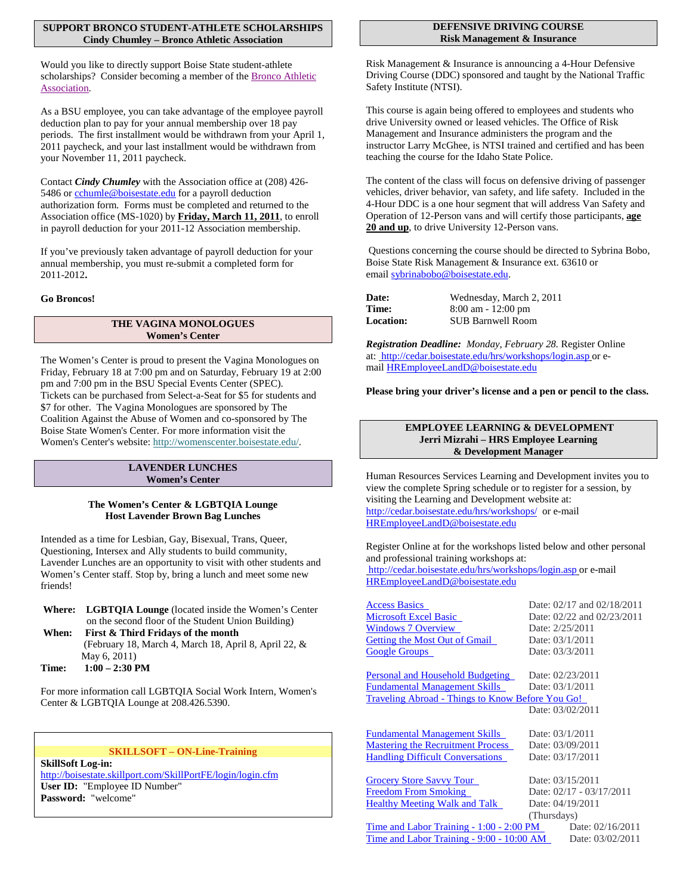### **SUPPORT BRONCO STUDENT-ATHLETE SCHOLARSHIPS Cindy Chumley – Bronco Athletic Association**

Would you like to directly support Boise State student-athlete scholarships? Consider becoming a member of th[e Bronco Athletic](http://www.broncoathleticassociation.com/)  [Association.](http://www.broncoathleticassociation.com/)

As a BSU employee, you can take advantage of the employee payroll deduction plan to pay for your annual membership over 18 pay periods. The first installment would be withdrawn from your April 1, 2011 paycheck, and your last installment would be withdrawn from your November 11, 2011 paycheck.

Contact *Cindy Chumley* with the Association office at (208) 426 5486 or [cchumle@boisestate.edu](mailto:cchumle@boisestate.edu) for a payroll deduction authorization form. Forms must be completed and returned to the Association office (MS-1020) by **Friday, March 11, 2011** , to enroll in payroll deduction for your 2011-12 Association membership.

2011-2012**.**  If you've previously taken advantage of payroll deduction for your annual membership, you must re-submit a completed form for

# **Go Broncos!**

# **THE VAGINA MONOLOGUES Women's Center**

The Women's Center is proud to present the Vagina Monologues on Friday, February 18 at 7:00 pm and on Saturday, February 19 at 2:00 pm and 7:00 pm in the BSU Special Events Center (SPEC). Tickets can be purchased from Select-a-Seat for \$5 for students and \$7 for other. The Vagina Monologues are sponsored by The Coalition Against the Abuse of Women and co-sponsored by The Boise State Women's Center. For more information visit the Women's Center's website: [http://womenscenter.boisestate.edu/.](http://womenscenter.boisestate.edu/)

### **LAVENDER LUNCHES Women's Center**

# **The Women's Center & LGBTQIA Lounge Host Lavender Brown Bag Lunches**

Intended as a time for Lesbian, Gay, Bisexual, Trans, Queer, Questioning, Intersex and Ally students to build community, Lavender Lunches are an opportunity to visit with other students and Women's Center staff. Stop by, bring a lunch and meet some new friends!

**Where: LGBTQIA Lounge** (located inside the Women's Center on the second floor of the Student Union Building)

**When: First & Third Fridays of the month** (February 18, March 4, March 18, April 8, April 22, & May 6, 2011) **Time: 1:00 – 2:30 PM**

For more information call LGBTQIA Social Work Intern, Women's Center & LGBTQIA Lounge at 208.426.5390.

# **SKILLSOFT – ON-Line-Training**

**SkillSoft Log-in:** http://boisestate.skillport.com/SkillPortFE/login/login.cfm **User ID:** "Employee ID Number" **Password:** "welcome"

### **DEFENSIVE DRIVING COURSE Risk Management & Insurance**

Risk Management & Insurance is announcing a 4-Hour Defensive Driving Course (DDC) sponsored and taught by the National Traffic Safety Institute (NTSI).

This course is again being offered to employees and students who drive University owned or leased vehicles. The Office of Risk Management and Insurance administers the program and the instructor Larry McGhee, is NTSI trained and certified and has been teaching the course for the Idaho State Police.

The content of the class will focus on defensive driving of passenger vehicles, driver behavior, van safety, and life safety. Included in the 4-Hour DDC is a one hour segment that will address Van Safety and Operation of 12-Person vans and will certify those participants, **age**  20 and up, to drive University 12-Person vans.

Questions concerning the course should be directed to Sybrina Bobo, Boise State Risk Management & Insurance ext. 63610 or email [sybrinabobo@boisestate.edu.](mailto:sybrinabobo@boisestate.edu)

| <b>Date:</b>     | Wednesday, March 2, 2011 |
|------------------|--------------------------|
| Time:            | $8:00$ am $-12:00$ pm    |
| <b>Location:</b> | <b>SUB Barnwell Room</b> |

*Registration Deadline: Monday, February 28.* Register Online at: <http://cedar.boisestate.edu/hrs/workshops/login.asp> or email [HREmployeeLandD@boisestate.edu](mailto:HREmployeeLandD@boisestate.edu)

# **Please bring your driver's license and a pen or pencil to the class.**

# **EMPLOYEE LEARNING & DEVELOPMENT Jerri Mizrahi – HRS Employee Learning & Development Manager**

Human Resources Services Learning and Development invites you to view the complete Spring schedule or to register for a session, by visiting the Learning and Development website at: <http://cedar.boisestate.edu/hrs/workshops/> or e-mail [HREmployeeLandD@boisestate.edu](mailto:HREmployeeLandD@boisestate.edu)

Register Online at for the workshops listed below and other personal and professional training workshops at: <http://cedar.boisestate.edu/hrs/workshops/login.asp> or e-mail [HREmployeeLandD@boisestate.edu](mailto:HREmployeeLandD@boisestate.edu)

| <b>Access Basics</b>                             | Date: 02/17 and 02/18/2011 |
|--------------------------------------------------|----------------------------|
| <b>Microsoft Excel Basic</b>                     | Date: 02/22 and 02/23/2011 |
| <b>Windows 7 Overview</b>                        | Date: 2/25/2011            |
| <b>Getting the Most Out of Gmail</b>             | Date: 03/1/2011            |
| <b>Google Groups</b>                             | Date: 03/3/2011            |
|                                                  |                            |
| Personal and Household Budgeting                 | Date: 02/23/2011           |
| <b>Fundamental Management Skills</b>             | Date: 03/1/2011            |
| Traveling Abroad - Things to Know Before You Go! |                            |
|                                                  | Date: 03/02/2011           |
|                                                  |                            |
| <b>Fundamental Management Skills</b>             | Date: 03/1/2011            |
| <b>Mastering the Recruitment Process</b>         | Date: 03/09/2011           |
| <b>Handling Difficult Conversations</b>          | Date: 03/17/2011           |
|                                                  |                            |
| Grocery Store Savvy Tour                         | Date: 03/15/2011           |
| <b>Freedom From Smoking</b>                      | Date: 02/17 - 03/17/2011   |
| <b>Healthy Meeting Walk and Talk</b>             | Date: 04/19/2011           |
|                                                  | (Thursdays)                |
|                                                  |                            |

[Time and Labor Training -](http://cedar.boisestate.edu/hrs/workshops/register.asp?category=59#1299) 1:00 - 2:00 PM Date: 02/16/2011 [Time and Labor Training -](http://cedar.boisestate.edu/hrs/workshops/register.asp?category=59#1300) 9:00 - 10:00 AM Date: 03/02/2011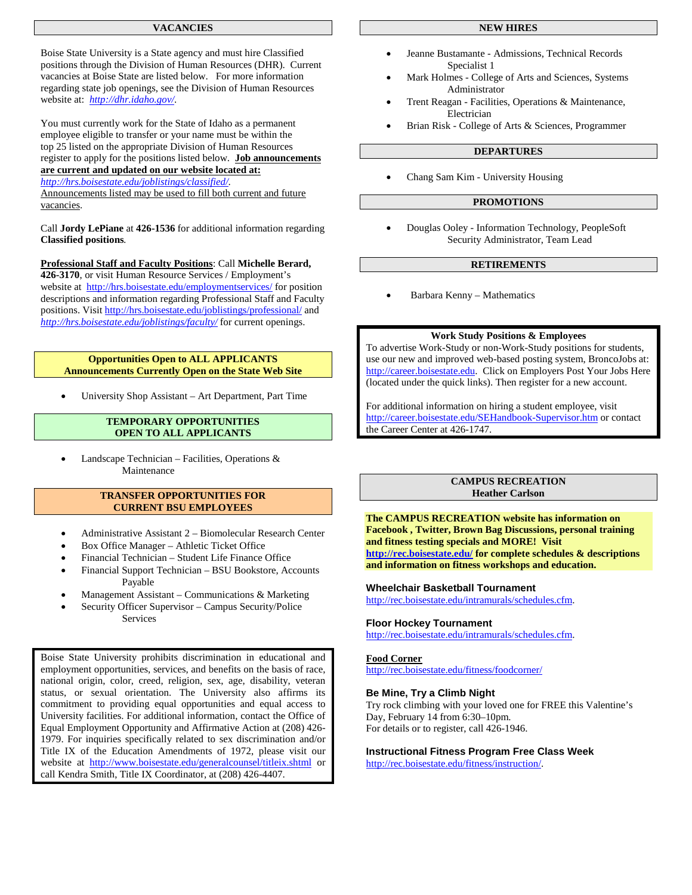### **VACANCIES**

Boise State University is a State agency and must hire Classified positions through the Division of Human Resources (DHR). Current vacancies at Boise State are listed below. For more information regarding state job openings, see the Division of Human Resources website at: *<http://dhr.idaho.gov/>*.

You must currently work for the State of Idaho as a permanent employee eligible to transfer or your name must be within the top 25 listed on the appropriate Division of Human Resources register to apply for the positions listed below. **Job announcements are current and updated on our website located at:** *<http://hrs.boisestate.edu/joblistings/classified/>*.

Announcements listed may be used to fill both current and future vacancies.

Call **Jordy LePiane** at **426-1536** for additional information regarding **Classified positions***.*

**Professional Staff and Faculty Positions** : Call **Michelle Berard, 426-3170**, or visit Human Resource Services / Employment's website at <http://hrs.boisestate.edu/employmentservices/> for position descriptions and information regarding Professional Staff and Faculty positions. Visit<http://hrs.boisestate.edu/joblistings/professional/> and *<http://hrs.boisestate.edu/joblistings/faculty/>* for current openings.

### **Opportunities Open to ALL APPLICANTS Announcements Currently Open on the State Web Site**

• University Shop Assistant – Art Department, Part Time

# **TEMPORARY OPPORTUNITIES OPEN TO ALL APPLICANTS**

• Landscape Technician – Facilities, Operations & Maintenance

# **TRANSFER OPPORTUNITIES FOR CURRENT BSU EMPLOYEES**

- Administrative Assistant 2 Biomolecular Research Center
- Box Office Manager Athletic Ticket Office
- Financial Technician Student Life Finance Office
- Financial Support Technician BSU Bookstore, Accounts Payable
- Management Assistant Communications & Marketing
- Security Officer Supervisor Campus Security/Police **Services**

Boise State University prohibits discrimination in educational and employment opportunities, services, and benefits on the basis of race, national origin, color, creed, religion, sex, age, disability, veteran status, or sexual orientation. The University also affirms its commitment to providing equal opportunities and equal access to University facilities. For additional information, contact the Office of Equal Employment Opportunity and Affirmative Action at (208) 426- 1979. For inquiries specifically related to sex discrimination and/or Title IX of the Education Amendments of 1972, please visit our website at <http://www.boisestate.edu/generalcounsel/titleix.shtml> or call Kendra Smith, Title IX Coordinator, at (208) 426-4407.

### **NEW HIRES**

- Jeanne Bustamante Admissions, Technical Records Specialist 1
- Mark Holmes College of Arts and Sciences, Systems Administrator
- Trent Reagan Facilities, Operations & Maintenance, Electrician
- Brian Risk College of Arts & Sciences, Programmer

### **DEPARTURES**

• Chang Sam Kim - University Housing

### **PROMOTIONS**

• Douglas Ooley - Information Technology, PeopleSoft Security Administrator, Team Lead

### **RETIREMENTS**

• Barbara Kenny – Mathematics

### **Work Study Positions & Employees**

To advertise Work-Study or non-Work-Study positions for students, use our new and improved web-based posting system, BroncoJobs at: http://career.boisestate.edu. Click on Employers Post Your Jobs Here (located under the quick links). Then register for a new account.

For additional information on hiring a student employee, visit <http://career.boisestate.edu/SEHandbook-Supervisor.htm> or contact the Career Center at 426-1747.

### **CAMPUS RECREATION Heather Carlson**

**The CAMPUS RECREATION website has information on Facebook , Twitter, Brown Bag Discussions, personal training and fitness testing specials and MORE! Visit <http://rec.boisestate.edu/> for complete schedules & descriptions and information on fitness workshops and education.** 

### **Wheelchair Basketball Tournament**

[http://rec.boisestate.edu/intramurals/schedules.cfm.](http://rec.boisestate.edu/intramurals/schedules.cfm) 

### **Floor Hockey Tournament**

[http://rec.boisestate.edu/intramurals/schedules.cfm.](http://rec.boisestate.edu/intramurals/schedules.cfm) 

### **Food Corner**

<http://rec.boisestate.edu/fitness/foodcorner/>

### **Be Mine, Try a Climb Night**

Try rock climbing with your loved one for FREE this Valentine's Day, February 14 from 6:30–10pm. For details or to register, call 426-1946.

**Instructional Fitness Program Free Class Week** [http://rec.boisestate.edu/fitness/instruction/.](http://rec.boisestate.edu/fitness/instruction/)